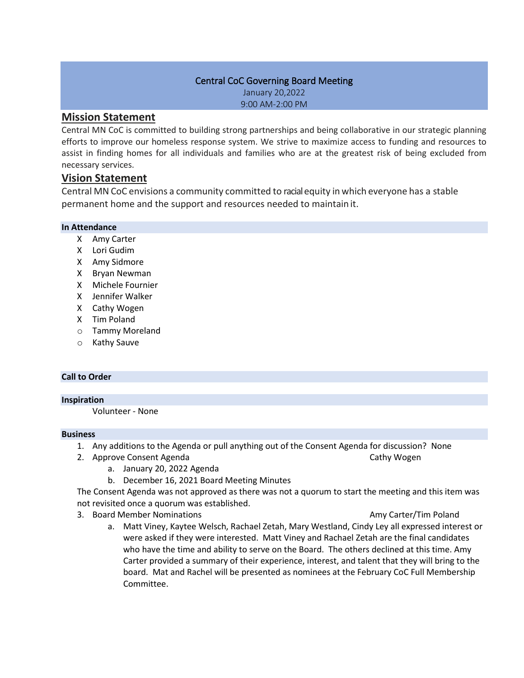### Central CoC Governing Board Meeting

January 20,2022 9:00 AM-2:00 PM

# **Mission Statement**

Central MN CoC is committed to building strong partnerships and being collaborative in our strategic planning efforts to improve our homeless response system. We strive to maximize access to funding and resources to assist in finding homes for all individuals and families who are at the greatest risk of being excluded from necessary services.

# **Vision Statement**

Central MN CoC envisions a community committed to racialequity in which everyone has a stable permanent home and the support and resources needed to maintain it.

## **In Attendance**

- X Amy Carter
- X Lori Gudim
- X Amy Sidmore
- X Bryan Newman
- X Michele Fournier
- X Jennifer Walker
- X Cathy Wogen
- X Tim Poland
- o Tammy Moreland
- o Kathy Sauve

# **Call to Order**

#### **Inspiration**

Volunteer - None

#### **Business**

- 1. Any additions to the Agenda or pull anything out of the Consent Agenda for discussion? None
- 2. Approve Consent Agenda Cathy Wogen Cathy Wogen
	- a. January 20, 2022 Agenda
	- b. December 16, 2021 Board Meeting Minutes

The Consent Agenda was not approved as there was not a quorum to start the meeting and this item was not revisited once a quorum was established.

- 3. Board Member Nominations Amy Carter/Tim Poland
	- a. Matt Viney, Kaytee Welsch, Rachael Zetah, Mary Westland, Cindy Ley all expressed interest or were asked if they were interested. Matt Viney and Rachael Zetah are the final candidates who have the time and ability to serve on the Board. The others declined at this time. Amy Carter provided a summary of their experience, interest, and talent that they will bring to the board. Mat and Rachel will be presented as nominees at the February CoC Full Membership Committee.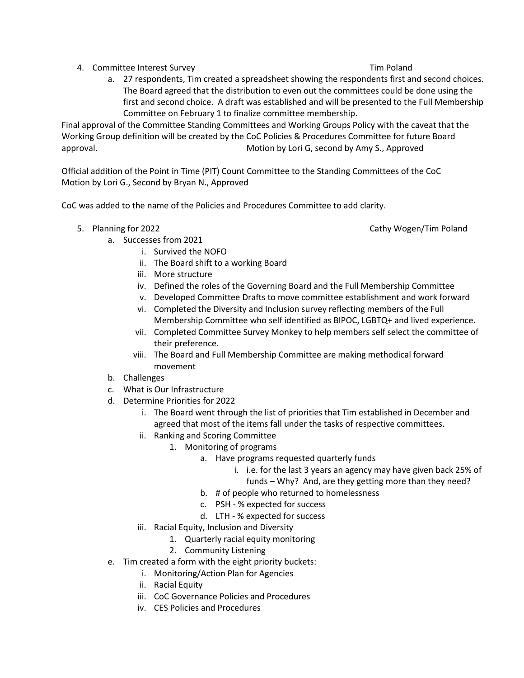- 4. Committee Interest Survey Tim Poland
	- a. 27 respondents, Tim created a spreadsheet showing the respondents first and second choices. The Board agreed that the distribution to even out the committees could be done using the first and second choice. A draft was established and will be presented to the Full Membership Committee on February 1 to finalize committee membership.

Final approval of the Committee Standing Committees and Working Groups Policy with the caveat that the Working Group definition will be created by the CoC Policies & Procedures Committee for future Board approval. Motion by Lori G, second by Amy S., Approved

Official addition of the Point in Time (PIT) Count Committee to the Standing Committees of the CoC Motion by Lori G., Second by Bryan N., Approved

CoC was added to the name of the Policies and Procedures Committee to add clarity.

5. Planning for 2022 **Cathy Wogen/Tim Poland** Cathy Wogen/Tim Poland

- a. Successes from 2021 i. Survived the NOFO
	- ii. The Board shift to a working Board
	- iii. More structure
	- iv. Defined the roles of the Governing Board and the Full Membership Committee
	- v. Developed Committee Drafts to move committee establishment and work forward
	- vi. Completed the Diversity and Inclusion survey reflecting members of the Full Membership Committee who self identified as BIPOC, LGBTQ+ and lived experience.
	- vii. Completed Committee Survey Monkey to help members self select the committee of their preference.
	- viii. The Board and Full Membership Committee are making methodical forward movement
- b. Challenges
- c. What is Our Infrastructure
- d. Determine Priorities for 2022
	- i. The Board went through the list of priorities that Tim established in December and agreed that most of the items fall under the tasks of respective committees.
	- ii. Ranking and Scoring Committee
		- 1. Monitoring of programs
			- a. Have programs requested quarterly funds
				- i. i.e. for the last 3 years an agency may have given back 25% of funds – Why? And, are they getting more than they need?
			- b. # of people who returned to homelessness
			- c. PSH % expected for success
			- d. LTH % expected for success
	- iii. Racial Equity, Inclusion and Diversity
		- 1. Quarterly racial equity monitoring
		- 2. Community Listening
- e. Tim created a form with the eight priority buckets:
	- i. Monitoring/Action Plan for Agencies
	- ii. Racial Equity
	- iii. CoC Governance Policies and Procedures
	- iv. CES Policies and Procedures